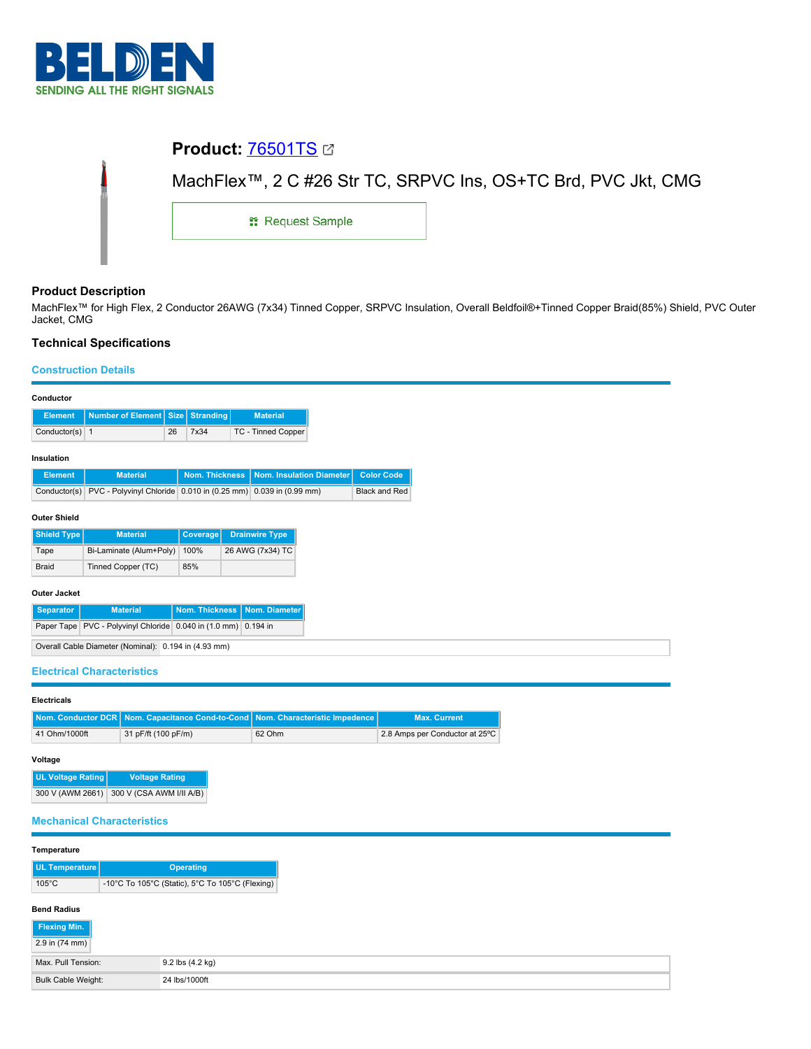

| <b>Product: 76501TS 27</b> |                                                                            |
|----------------------------|----------------------------------------------------------------------------|
|                            | MachFlex <sup>™</sup> , 2 C #26 Str TC, SRPVC Ins, OS+TC Brd, PVC Jkt, CMG |
| <b>: Request Sample</b>    |                                                                            |
|                            |                                                                            |

## **Product Description**

MachFlex™ for High Flex, 2 Conductor 26AWG (7x34) Tinned Copper, SRPVC Insulation, Overall Beldfoil®+Tinned Copper Braid(85%) Shield, PVC Outer Jacket, CMG

# **Technical Specifications**

## **Construction Details**

| Conductor           |                                                                |                |                |                           |                      |
|---------------------|----------------------------------------------------------------|----------------|----------------|---------------------------|----------------------|
| <b>Element</b>      | Number of Element   Size   Stranding                           |                |                | <b>Material</b>           |                      |
| Conductor(s) $1$    |                                                                | 26<br>7x34     |                | <b>TC - Tinned Copper</b> |                      |
| Insulation          |                                                                |                |                |                           |                      |
| <b>Element</b>      | <b>Material</b>                                                |                | Nom. Thickness | Nom. Insulation Diameter  | <b>Color Code</b>    |
| Conductor(s)        | PVC - Polyvinyl Chloride 0.010 in (0.25 mm) 0.039 in (0.99 mm) |                |                |                           | <b>Black and Red</b> |
| <b>Outer Shield</b> |                                                                |                |                |                           |                      |
| Shield Type         | <b>Material</b>                                                | Coverage       |                | <b>Drainwire Type</b>     |                      |
| Tape                | Bi-Laminate (Alum+Poly)                                        | 100%           |                | 26 AWG (7x34) TC          |                      |
| Braid               | Tinned Copper (TC)                                             | 85%            |                |                           |                      |
| Outer Jacket        |                                                                |                |                |                           |                      |
| <b>Separator</b>    | <b>Material</b>                                                | Nom. Thickness |                | Nom. Diameter             |                      |
|                     | Paper Tape PVC - Polyvinyl Chloride 0.040 in (1.0 mm) 0.194 in |                |                |                           |                      |
|                     | Overall Cable Diameter (Nominal): 0.194 in (4.93 mm)           |                |                |                           |                      |

**Electrical Characteristics**

| <b>Electricals</b> |                                                                                    |        |                                |  |  |  |
|--------------------|------------------------------------------------------------------------------------|--------|--------------------------------|--|--|--|
|                    | Nom. Conductor DCR   Nom. Capacitance Cond-to-Cond   Nom. Characteristic Impedence |        | <b>Max. Current</b>            |  |  |  |
| 41 Ohm/1000ft      | 31 pF/ft (100 pF/m)                                                                | 62 Ohm | 2.8 Amps per Conductor at 25°C |  |  |  |

### **Voltage**

| <b>UL Voltage Rating</b> | <b>Voltage Rating</b>    |  |  |
|--------------------------|--------------------------|--|--|
| 300 V (AWM 2661)         | 300 V (CSA AWM I/II A/B) |  |  |

## **Mechanical Characteristics**

| Temperature                                                        |                  |  |  |
|--------------------------------------------------------------------|------------------|--|--|
| UL Temperature                                                     | <b>Operating</b> |  |  |
| $105^{\circ}$ C<br>-10°C To 105°C (Static), 5°C To 105°C (Flexing) |                  |  |  |
| <b>Bend Radius</b><br>Flexing Min.<br>2.9 in (74 mm)               |                  |  |  |
| Max. Pull Tension:                                                 | 9.2 lbs (4.2 kg) |  |  |
| <b>Bulk Cable Weight:</b>                                          | 24 lbs/1000ft    |  |  |